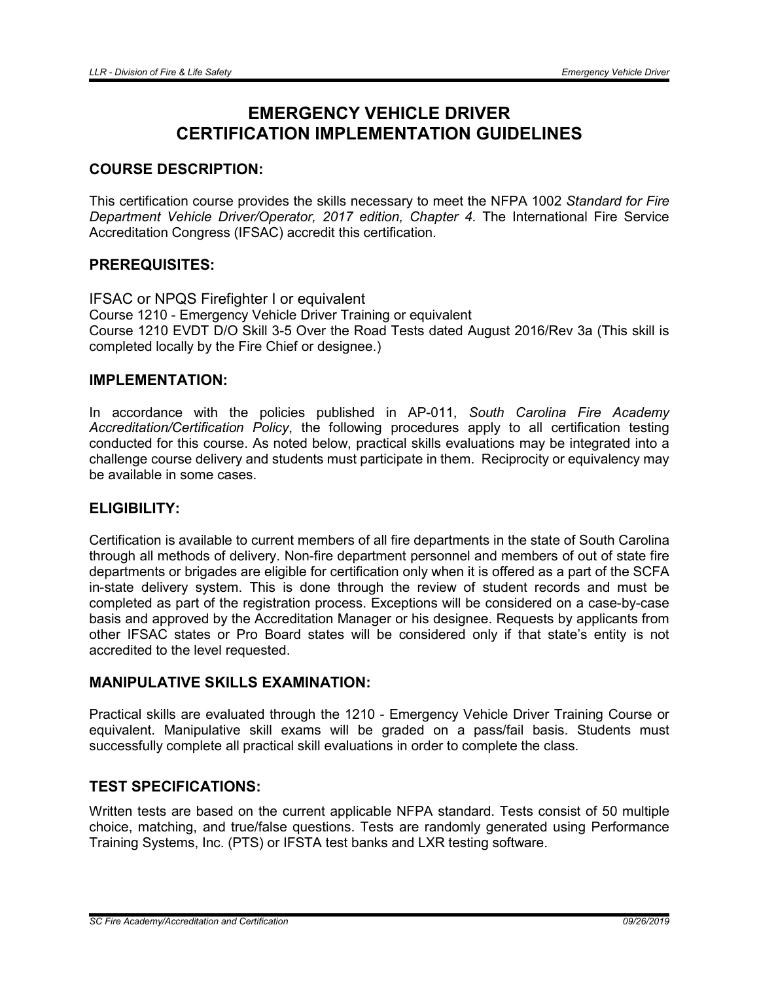# EMERGENCY VEHICLE DRIVER CERTIFICATION IMPLEMENTATION GUIDELINES

## COURSE DESCRIPTION:

This certification course provides the skills necessary to meet the NFPA 1002 *Standard for Fire Department Vehicle Driver/Operator, 2017 edition, Chapter 4*. The International Fire Service Accreditation Congress (IFSAC) accredit this certification.

## PREREQUISITES:

IFSAC or NPQS Firefighter I or equivalent Course 1210 - Emergency Vehicle Driver Training or equivalent Course 1210 EVDT D/O Skill 3-5 Over the Road Tests dated August 2016/Rev 3a (This skill is completed locally by the Fire Chief or designee.)

#### IMPLEMENTATION:

In accordance with the policies published in AP-011, *South Carolina Fire Academy Accreditation/Certification Policy*, the following procedures apply to all certification testing conducted for this course. As noted below, practical skills evaluations may be integrated into a challenge course delivery and students must participate in them. Reciprocity or equivalency may be available in some cases.

## ELIGIBILITY:

Certification is available to current members of all fire departments in the state of South Carolina through all methods of delivery. Non-fire department personnel and members of out of state fire departments or brigades are eligible for certification only when it is offered as a part of the SCFA in-state delivery system. This is done through the review of student records and must be completed as part of the registration process. Exceptions will be considered on a case-by-case basis and approved by the Accreditation Manager or his designee. Requests by applicants from other IFSAC states or Pro Board states will be considered only if that state's entity is not accredited to the level requested.

## MANIPULATIVE SKILLS EXAMINATION:

Practical skills are evaluated through the 1210 - Emergency Vehicle Driver Training Course or equivalent. Manipulative skill exams will be graded on a pass/fail basis. Students must successfully complete all practical skill evaluations in order to complete the class.

## TEST SPECIFICATIONS:

Written tests are based on the current applicable NFPA standard. Tests consist of 50 multiple choice, matching, and true/false questions. Tests are randomly generated using Performance Training Systems, Inc. (PTS) or IFSTA test banks and LXR testing software.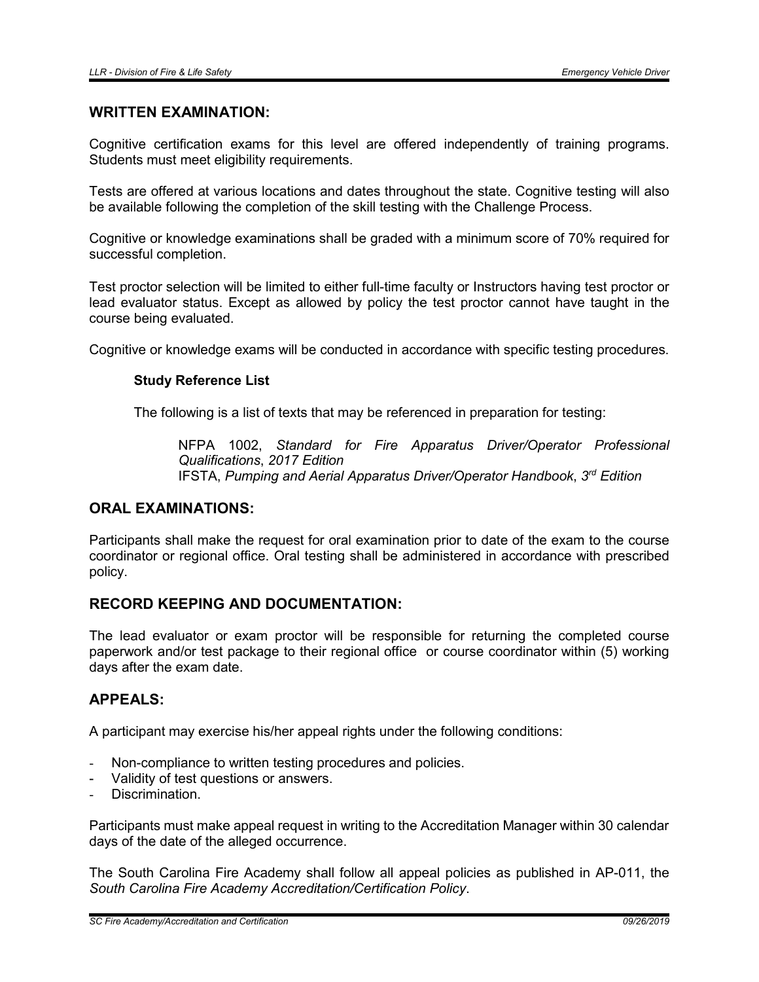#### WRITTEN EXAMINATION:

Cognitive certification exams for this level are offered independently of training programs. Students must meet eligibility requirements.

Tests are offered at various locations and dates throughout the state. Cognitive testing will also be available following the completion of the skill testing with the Challenge Process.

Cognitive or knowledge examinations shall be graded with a minimum score of 70% required for successful completion.

Test proctor selection will be limited to either full-time faculty or Instructors having test proctor or lead evaluator status. Except as allowed by policy the test proctor cannot have taught in the course being evaluated.

Cognitive or knowledge exams will be conducted in accordance with specific testing procedures.

#### Study Reference List

The following is a list of texts that may be referenced in preparation for testing:

NFPA 1002, *Standard for Fire Apparatus Driver/Operator Professional Qualifications*, *2017 Edition* IFSTA, *Pumping and Aerial Apparatus Driver/Operator Handbook*, *3rd Edition*

#### ORAL EXAMINATIONS:

Participants shall make the request for oral examination prior to date of the exam to the course coordinator or regional office. Oral testing shall be administered in accordance with prescribed policy.

## RECORD KEEPING AND DOCUMENTATION:

The lead evaluator or exam proctor will be responsible for returning the completed course paperwork and/or test package to their regional office or course coordinator within (5) working days after the exam date.

#### APPEALS:

A participant may exercise his/her appeal rights under the following conditions:

- Non-compliance to written testing procedures and policies.
- Validity of test questions or answers.
- Discrimination

Participants must make appeal request in writing to the Accreditation Manager within 30 calendar days of the date of the alleged occurrence.

The South Carolina Fire Academy shall follow all appeal policies as published in AP-011, the *South Carolina Fire Academy Accreditation/Certification Policy*.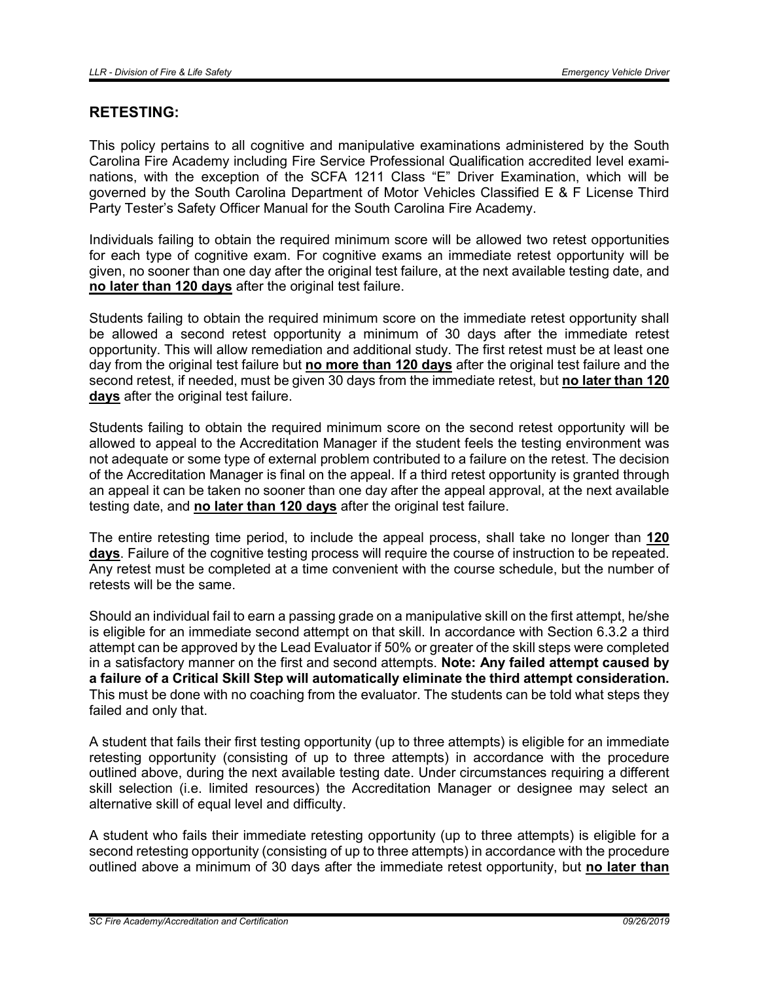### RETESTING:

This policy pertains to all cognitive and manipulative examinations administered by the South Carolina Fire Academy including Fire Service Professional Qualification accredited level examinations, with the exception of the SCFA 1211 Class "E" Driver Examination, which will be governed by the South Carolina Department of Motor Vehicles Classified E & F License Third Party Tester's Safety Officer Manual for the South Carolina Fire Academy.

Individuals failing to obtain the required minimum score will be allowed two retest opportunities for each type of cognitive exam. For cognitive exams an immediate retest opportunity will be given, no sooner than one day after the original test failure, at the next available testing date, and no later than 120 days after the original test failure.

Students failing to obtain the required minimum score on the immediate retest opportunity shall be allowed a second retest opportunity a minimum of 30 days after the immediate retest opportunity. This will allow remediation and additional study. The first retest must be at least one day from the original test failure but no more than 120 days after the original test failure and the second retest, if needed, must be given 30 days from the immediate retest, but no later than 120 days after the original test failure.

Students failing to obtain the required minimum score on the second retest opportunity will be allowed to appeal to the Accreditation Manager if the student feels the testing environment was not adequate or some type of external problem contributed to a failure on the retest. The decision of the Accreditation Manager is final on the appeal. If a third retest opportunity is granted through an appeal it can be taken no sooner than one day after the appeal approval, at the next available testing date, and no later than 120 days after the original test failure.

The entire retesting time period, to include the appeal process, shall take no longer than 120 days. Failure of the cognitive testing process will require the course of instruction to be repeated. Any retest must be completed at a time convenient with the course schedule, but the number of retests will be the same.

Should an individual fail to earn a passing grade on a manipulative skill on the first attempt, he/she is eligible for an immediate second attempt on that skill. In accordance with Section 6.3.2 a third attempt can be approved by the Lead Evaluator if 50% or greater of the skill steps were completed in a satisfactory manner on the first and second attempts. Note: Any failed attempt caused by a failure of a Critical Skill Step will automatically eliminate the third attempt consideration. This must be done with no coaching from the evaluator. The students can be told what steps they failed and only that.

A student that fails their first testing opportunity (up to three attempts) is eligible for an immediate retesting opportunity (consisting of up to three attempts) in accordance with the procedure outlined above, during the next available testing date. Under circumstances requiring a different skill selection (i.e. limited resources) the Accreditation Manager or designee may select an alternative skill of equal level and difficulty.

A student who fails their immediate retesting opportunity (up to three attempts) is eligible for a second retesting opportunity (consisting of up to three attempts) in accordance with the procedure outlined above a minimum of 30 days after the immediate retest opportunity, but no later than